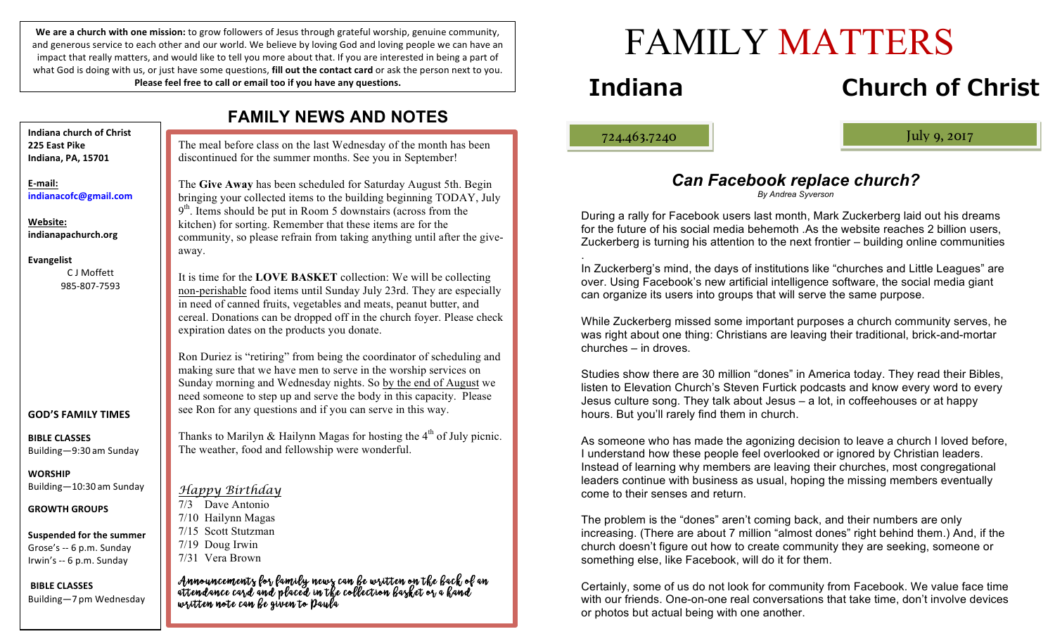We are a church with one mission: to grow followers of Jesus through grateful worship, genuine community, and generous service to each other and our world. We believe by loving God and loving people we can have an impact that really matters, and would like to tell you more about that. If you are interested in being a part of what God is doing with us, or just have some questions, **fill out the contact card** or ask the person next to you. Please feel free to call or email too if you have any questions.

| <b>FAMILY NEWS AND NOTES</b>                                                            |                                                                                                                                                                                                                                                                                                                                                    |
|-----------------------------------------------------------------------------------------|----------------------------------------------------------------------------------------------------------------------------------------------------------------------------------------------------------------------------------------------------------------------------------------------------------------------------------------------------|
| Indiana church of Christ<br>225 East Pike<br>Indiana, PA, 15701                         | The meal before class on the last Wednesday of the month has been<br>discontinued for the summer months. See you in September!                                                                                                                                                                                                                     |
| E-mail:<br>indianacofc@gmail.com                                                        | The Give Away has been scheduled for Saturday August 5th. Begin<br>bringing your collected items to the building beginning TODAY, July<br>$9th$ . Items should be put in Room 5 downstairs (across from the                                                                                                                                        |
| Website:<br>indianapachurch.org<br><b>Evangelist</b>                                    | kitchen) for sorting. Remember that these items are for the<br>community, so please refrain from taking anything until after the give-<br>away.                                                                                                                                                                                                    |
| C J Moffett<br>985-807-7593                                                             | It is time for the LOVE BASKET collection: We will be collecting<br>non-perishable food items until Sunday July 23rd. They are especially<br>in need of canned fruits, vegetables and meats, peanut butter, and<br>cereal. Donations can be dropped off in the church foyer. Please check<br>expiration dates on the products you donate.          |
| <b>GOD'S FAMILY TIMES</b>                                                               | Ron Duriez is "retiring" from being the coordinator of scheduling and<br>making sure that we have men to serve in the worship services on<br>Sunday morning and Wednesday nights. So by the end of August we<br>need someone to step up and serve the body in this capacity. Please<br>see Ron for any questions and if you can serve in this way. |
| <b>BIBLE CLASSES</b><br>Building-9:30 am Sunday                                         | Thanks to Marilyn & Hailynn Magas for hosting the $4th$ of July picnic.<br>The weather, food and fellowship were wonderful.                                                                                                                                                                                                                        |
| WORSHIP<br>Building-10:30 am Sunday                                                     | <u>Happy Birthday</u>                                                                                                                                                                                                                                                                                                                              |
| <b>GROWTH GROUPS</b>                                                                    | Dave Antonio<br>7/3<br>7/10 Hailynn Magas                                                                                                                                                                                                                                                                                                          |
| <b>Suspended for the summer</b><br>Grose's -- 6 p.m. Sunday<br>Irwin's -- 6 p.m. Sunday | 7/15 Scott Stutzman<br>7/19 Doug Irwin<br>7/31 Vera Brown                                                                                                                                                                                                                                                                                          |
| <b>BIBLE CLASSES</b><br>Building-7 pm Wednesday                                         | Announcements for family news can be written on the back of an<br>attendance card and placed in the collection basket or a kand<br>written note can be given to Daula                                                                                                                                                                              |

# FAMILY MATTERS

## **Indiana Church of Christ**

ļ

724.463.7240 July 9, 2017

### *Can Facebook replace church?*

#### *By Andrea Syverson*

During a rally for Facebook users last month, Mark Zuckerberg laid out his dreams for the future of his social media behemoth .As the website reaches 2 billion users, Zuckerberg is turning his attention to the next frontier – building online communities

. In Zuckerberg's mind, the days of institutions like "churches and Little Leagues" are over. Using Facebook's new artificial intelligence software, the social media giant can organize its users into groups that will serve the same purpose.

While Zuckerberg missed some important purposes a church community serves, he was right about one thing: Christians are leaving their traditional, brick-and-mortar churches – in droves.

Studies show there are 30 million "dones" in America today. They read their Bibles, listen to Elevation Church's Steven Furtick podcasts and know every word to every Jesus culture song. They talk about Jesus – a lot, in coffeehouses or at happy hours. But you'll rarely find them in church.

As someone who has made the agonizing decision to leave a church I loved before, I understand how these people feel overlooked or ignored by Christian leaders. Instead of learning why members are leaving their churches, most congregational leaders continue with business as usual, hoping the missing members eventually come to their senses and return.

The problem is the "dones" aren't coming back, and their numbers are only increasing. (There are about 7 million "almost dones" right behind them.) And, if the church doesn't figure out how to create community they are seeking, someone or something else, like Facebook, will do it for them.

Certainly, some of us do not look for community from Facebook. We value face time with our friends. One-on-one real conversations that take time, don't involve devices or photos but actual being with one another.